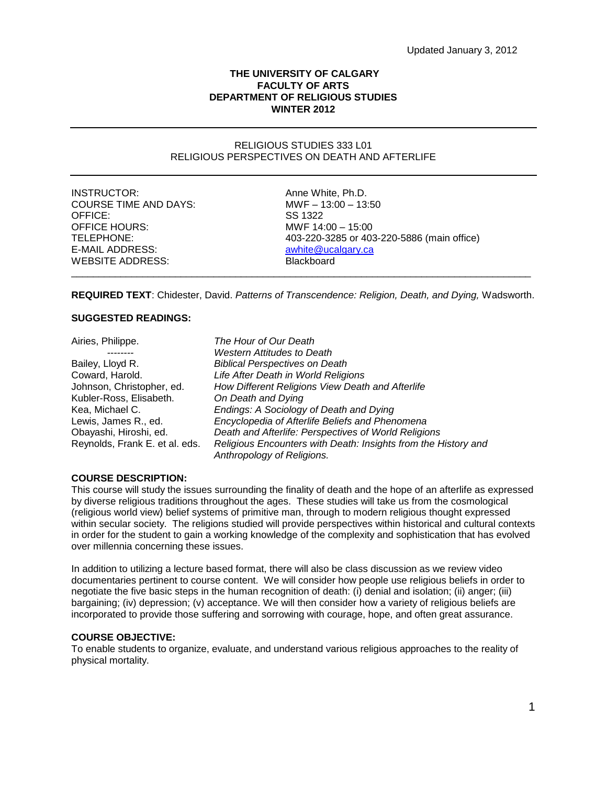# **THE UNIVERSITY OF CALGARY FACULTY OF ARTS DEPARTMENT OF RELIGIOUS STUDIES WINTER 2012**

## RELIGIOUS STUDIES 333 L01 RELIGIOUS PERSPECTIVES ON DEATH AND AFTERLIFE

INSTRUCTOR: Anne White, Ph.D. COURSE TIME AND DAYS: MWF – 13:00 – 13:50 OFFICE: SS 1322 OFFICE HOURS: MWF 14:00 – 15:00 E-MAIL ADDRESS: and a white @ucalgary.ca WEBSITE ADDRESS: Blackboard

TELEPHONE: 403-220-3285 or 403-220-5886 (main office) \_\_\_\_\_\_\_\_\_\_\_\_\_\_\_\_\_\_\_\_\_\_\_\_\_\_\_\_\_\_\_\_\_\_\_\_\_\_\_\_\_\_\_\_\_\_\_\_\_\_\_\_\_\_\_\_\_\_\_\_\_\_\_\_\_\_\_\_\_\_\_\_\_\_\_\_\_\_\_\_\_\_\_\_

**REQUIRED TEXT**: Chidester, David. *Patterns of Transcendence: Religion, Death, and Dying,* Wadsworth.

### **SUGGESTED READINGS:**

| Airies, Philippe.              | The Hour of Our Death                                          |
|--------------------------------|----------------------------------------------------------------|
|                                | <b>Western Attitudes to Death</b>                              |
| Bailey, Lloyd R.               | <b>Biblical Perspectives on Death</b>                          |
| Coward, Harold.                | Life After Death in World Religions                            |
| Johnson, Christopher, ed.      | How Different Religions View Death and Afterlife               |
| Kubler-Ross, Elisabeth.        | On Death and Dying                                             |
| Kea, Michael C.                | Endings: A Sociology of Death and Dying                        |
| Lewis, James R., ed.           | Encyclopedia of Afterlife Beliefs and Phenomena                |
| Obayashi, Hiroshi, ed.         | Death and Afterlife: Perspectives of World Religions           |
| Reynolds, Frank E. et al. eds. | Religious Encounters with Death: Insights from the History and |
|                                | Anthropology of Religions.                                     |

#### **COURSE DESCRIPTION:**

This course will study the issues surrounding the finality of death and the hope of an afterlife as expressed by diverse religious traditions throughout the ages. These studies will take us from the cosmological (religious world view) belief systems of primitive man, through to modern religious thought expressed within secular society. The religions studied will provide perspectives within historical and cultural contexts in order for the student to gain a working knowledge of the complexity and sophistication that has evolved over millennia concerning these issues.

In addition to utilizing a lecture based format, there will also be class discussion as we review video documentaries pertinent to course content. We will consider how people use religious beliefs in order to negotiate the five basic steps in the human recognition of death: (i) denial and isolation; (ii) anger; (iii) bargaining; (iv) depression; (v) acceptance. We will then consider how a variety of religious beliefs are incorporated to provide those suffering and sorrowing with courage, hope, and often great assurance.

# **COURSE OBJECTIVE:**

To enable students to organize, evaluate, and understand various religious approaches to the reality of physical mortality.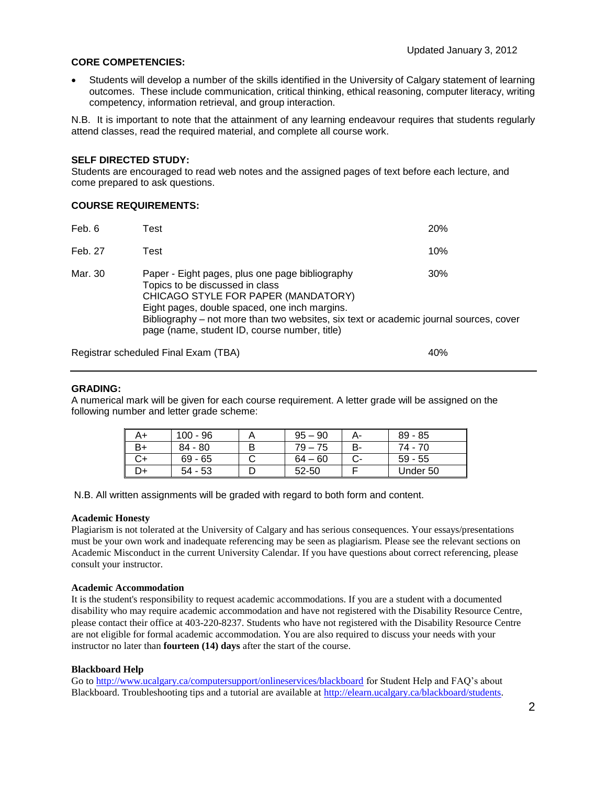# **CORE COMPETENCIES:**

 Students will develop a number of the skills identified in the University of Calgary statement of learning outcomes. These include communication, critical thinking, ethical reasoning, computer literacy, writing competency, information retrieval, and group interaction.

N.B. It is important to note that the attainment of any learning endeavour requires that students regularly attend classes, read the required material, and complete all course work.

# **SELF DIRECTED STUDY:**

Students are encouraged to read web notes and the assigned pages of text before each lecture, and come prepared to ask questions.

# **COURSE REQUIREMENTS:**

| Feb. 6  | Test                                                                                                                                                                                                                                                                                                                  | <b>20%</b> |
|---------|-----------------------------------------------------------------------------------------------------------------------------------------------------------------------------------------------------------------------------------------------------------------------------------------------------------------------|------------|
| Feb. 27 | Test                                                                                                                                                                                                                                                                                                                  | 10%        |
| Mar. 30 | Paper - Eight pages, plus one page bibliography<br>Topics to be discussed in class<br>CHICAGO STYLE FOR PAPER (MANDATORY)<br>Eight pages, double spaced, one inch margins.<br>Bibliography – not more than two websites, six text or academic journal sources, cover<br>page (name, student ID, course number, title) | 30%        |

Registrar scheduled Final Exam (TBA) 40%

## **GRADING:**

A numerical mark will be given for each course requirement. A letter grade will be assigned on the following number and letter grade scheme:

| A+ | $100 - 96$ | $95 - 90$ |    | $89 - 85$ |
|----|------------|-----------|----|-----------|
| В+ | $84 - 80$  | $79 - 75$ | В- | 74 - 70   |
| C+ | $69 - 65$  | $64 - 60$ |    | $59 - 55$ |
| -0 | $54 - 53$  | 52-50     |    | Under 50  |

N.B. All written assignments will be graded with regard to both form and content.

## **Academic Honesty**

Plagiarism is not tolerated at the University of Calgary and has serious consequences. Your essays/presentations must be your own work and inadequate referencing may be seen as plagiarism. Please see the relevant sections on Academic Misconduct in the current University Calendar. If you have questions about correct referencing, please consult your instructor.

#### **Academic Accommodation**

It is the student's responsibility to request academic accommodations. If you are a student with a documented disability who may require academic accommodation and have not registered with the Disability Resource Centre, please contact their office at 403-220-8237. Students who have not registered with the Disability Resource Centre are not eligible for formal academic accommodation. You are also required to discuss your needs with your instructor no later than **fourteen (14) days** after the start of the course.

#### **Blackboard Help**

Go to<http://www.ucalgary.ca/computersupport/onlineservices/blackboard> for Student Help and FAQ's about Blackboard. Troubleshooting tips and a tutorial are available at [http://elearn.ucalgary.ca/blackboard/students.](http://elearn.ucalgary.ca/blackboard/students)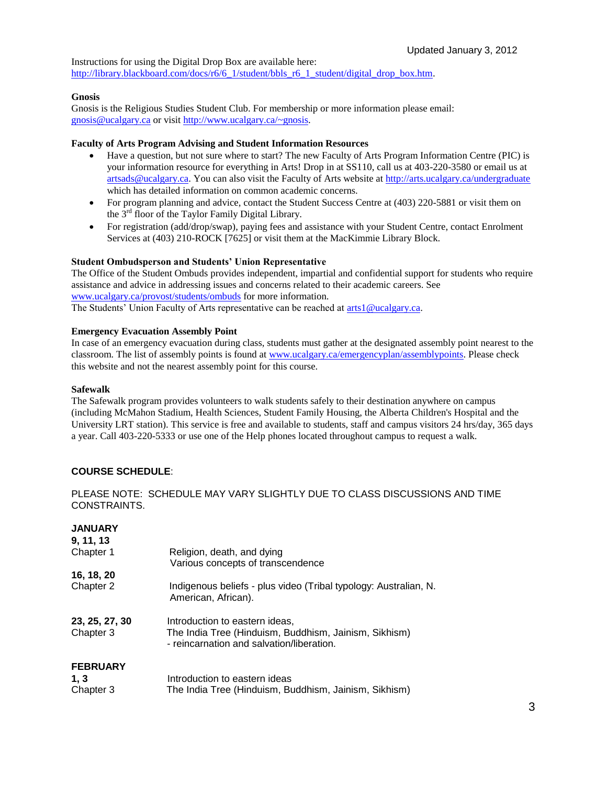Instructions for using the Digital Drop Box are available here: [http://library.blackboard.com/docs/r6/6\\_1/student/bbls\\_r6\\_1\\_student/digital\\_drop\\_box.htm.](http://library.blackboard.com/docs/r6/6_1/student/bbls_r6_1_student/digital_drop_box.htm)

# **Gnosis**

Gnosis is the Religious Studies Student Club. For membership or more information please email: gnosis@ucalgary.ca or visit [http://www.ucalgary.ca/~gnosis.](http://www.ucalgary.ca/~gnosis)

# **Faculty of Arts Program Advising and Student Information Resources**

- Have a question, but not sure where to start? The new Faculty of Arts Program Information Centre (PIC) is your information resource for everything in Arts! Drop in at SS110, call us at 403-220-3580 or email us at [artsads@ucalgary.ca.](mailto:artsads@ucalgary.ca) You can also visit the Faculty of Arts website at<http://arts.ucalgary.ca/undergraduate> which has detailed information on common academic concerns.
- For program planning and advice, contact the Student Success Centre at (403) 220-5881 or visit them on the 3rd floor of the Taylor Family Digital Library.
- For registration (add/drop/swap), paying fees and assistance with your Student Centre, contact Enrolment Services at (403) 210-ROCK [7625] or visit them at the MacKimmie Library Block.

# **Student Ombudsperson and Students' Union Representative**

The Office of the Student Ombuds provides independent, impartial and confidential support for students who require assistance and advice in addressing issues and concerns related to their academic careers. See [www.ucalgary.ca/provost/students/ombuds](http://www.ucalgary.ca/provost/students/ombuds) for more information. The Students' Union Faculty of Arts representative can be reached at [arts1@ucalgary.ca.](mailto:arts1@ucalgary.ca)

## **Emergency Evacuation Assembly Point**

In case of an emergency evacuation during class, students must gather at the designated assembly point nearest to the classroom. The list of assembly points is found at [www.ucalgary.ca/emergencyplan/assemblypoints.](http://www.ucalgary.ca/emergencyplan/assemblypoints) Please check this website and not the nearest assembly point for this course.

# **Safewalk**

The Safewalk program provides volunteers to walk students safely to their destination anywhere on campus (including McMahon Stadium, Health Sciences, Student Family Housing, the Alberta Children's Hospital and the University LRT station). This service is free and available to students, staff and campus visitors 24 hrs/day, 365 days a year. Call 403-220-5333 or use one of the Help phones located throughout campus to request a walk.

# **COURSE SCHEDULE**:

PLEASE NOTE: SCHEDULE MAY VARY SLIGHTLY DUE TO CLASS DISCUSSIONS AND TIME CONSTRAINTS.

# **JANUARY**

| 9, 11, 13                   |                                                                                                                                      |
|-----------------------------|--------------------------------------------------------------------------------------------------------------------------------------|
| Chapter 1                   | Religion, death, and dying                                                                                                           |
|                             | Various concepts of transcendence                                                                                                    |
| 16, 18, 20                  |                                                                                                                                      |
| Chapter 2                   | Indigenous beliefs - plus video (Tribal typology: Australian, N.<br>American, African).                                              |
| 23, 25, 27, 30<br>Chapter 3 | Introduction to eastern ideas,<br>The India Tree (Hinduism, Buddhism, Jainism, Sikhism)<br>- reincarnation and salvation/liberation. |
| <b>FEBRUARY</b><br>1, 3     | Introduction to eastern ideas                                                                                                        |

| ., J      | <b>INTERNATION CONSTRUCTS</b>                         |
|-----------|-------------------------------------------------------|
| Chapter 3 | The India Tree (Hinduism, Buddhism, Jainism, Sikhism) |